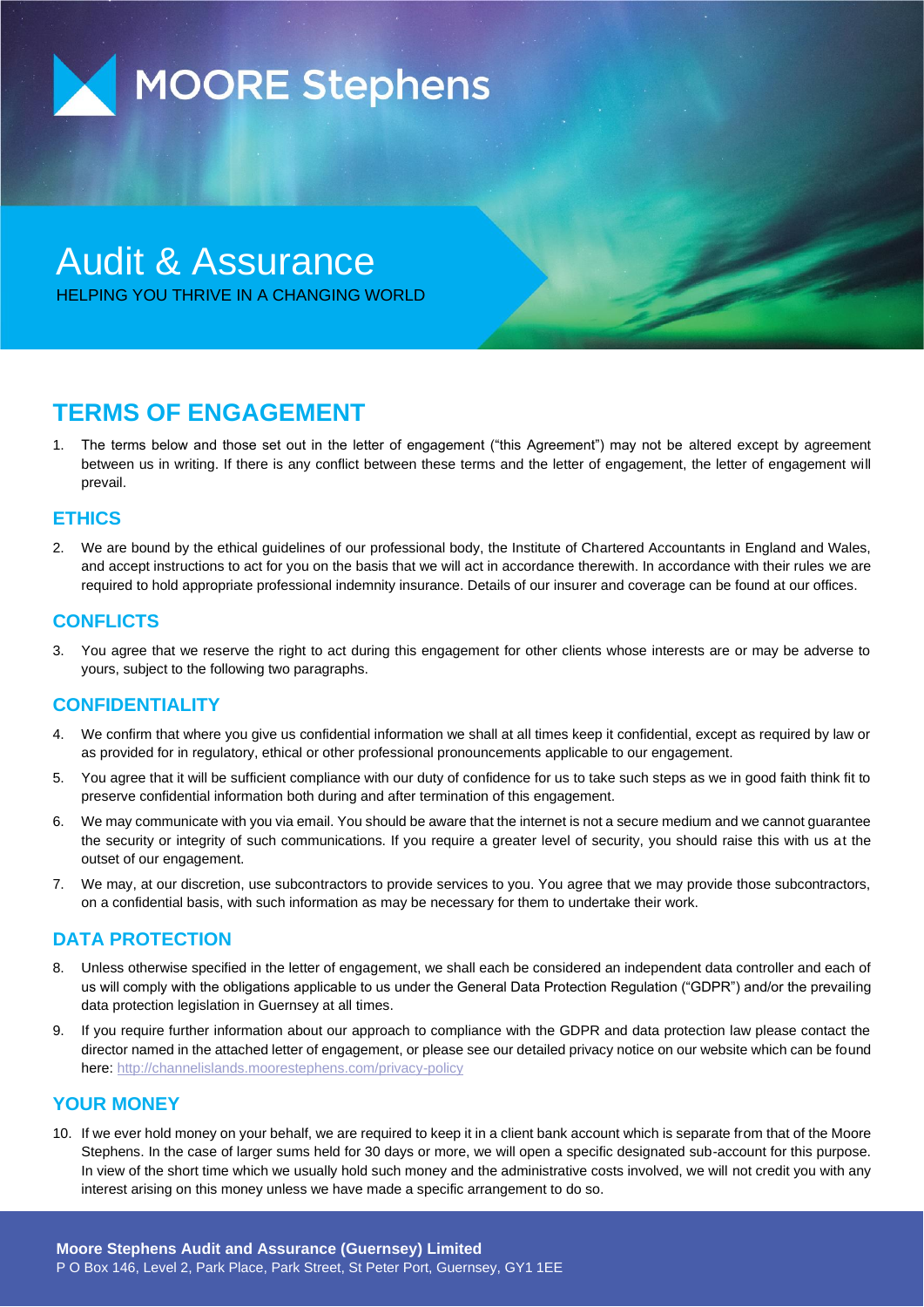

# Audit & Assurance

HELPING YOU THRIVE IN A CHANGING WORLD

# **TERMS OF ENGAGEMENT**

1. The terms below and those set out in the letter of engagement ("this Agreement") may not be altered except by agreement between us in writing. If there is any conflict between these terms and the letter of engagement, the letter of engagement will prevail.

# **ETHICS**

2. We are bound by the ethical guidelines of our professional body, the Institute of Chartered Accountants in England and Wales, and accept instructions to act for you on the basis that we will act in accordance therewith. In accordance with their rules we are required to hold appropriate professional indemnity insurance. Details of our insurer and coverage can be found at our offices.

# **CONFLICTS**

3. You agree that we reserve the right to act during this engagement for other clients whose interests are or may be adverse to yours, subject to the following two paragraphs.

# **CONFIDENTIALITY**

- 4. We confirm that where you give us confidential information we shall at all times keep it confidential, except as required by law or as provided for in regulatory, ethical or other professional pronouncements applicable to our engagement.
- 5. You agree that it will be sufficient compliance with our duty of confidence for us to take such steps as we in good faith think fit to preserve confidential information both during and after termination of this engagement.
- 6. We may communicate with you via email. You should be aware that the internet is not a secure medium and we cannot guarantee the security or integrity of such communications. If you require a greater level of security, you should raise this with us at the outset of our engagement.
- 7. We may, at our discretion, use subcontractors to provide services to you. You agree that we may provide those subcontractors, on a confidential basis, with such information as may be necessary for them to undertake their work.

# **DATA PROTECTION**

- 8. Unless otherwise specified in the letter of engagement, we shall each be considered an independent data controller and each of us will comply with the obligations applicable to us under the General Data Protection Regulation ("GDPR") and/or the prevailing data protection legislation in Guernsey at all times.
- 9. If you require further information about our approach to compliance with the GDPR and data protection law please contact the director named in the attached letter of engagement, or please see our detailed privacy notice on our website which can be found here[: http://channelislands.moorestephens.com/privacy-policy](http://channelislands.moorestephens.com/privacy-policy)

# **YOUR MONEY**

10. If we ever hold money on your behalf, we are required to keep it in a client bank account which is separate from that of the Moore Stephens. In the case of larger sums held for 30 days or more, we will open a specific designated sub-account for this purpose. In view of the short time which we usually hold such money and the administrative costs involved, we will not credit you with any interest arising on this money unless we have made a specific arrangement to do so.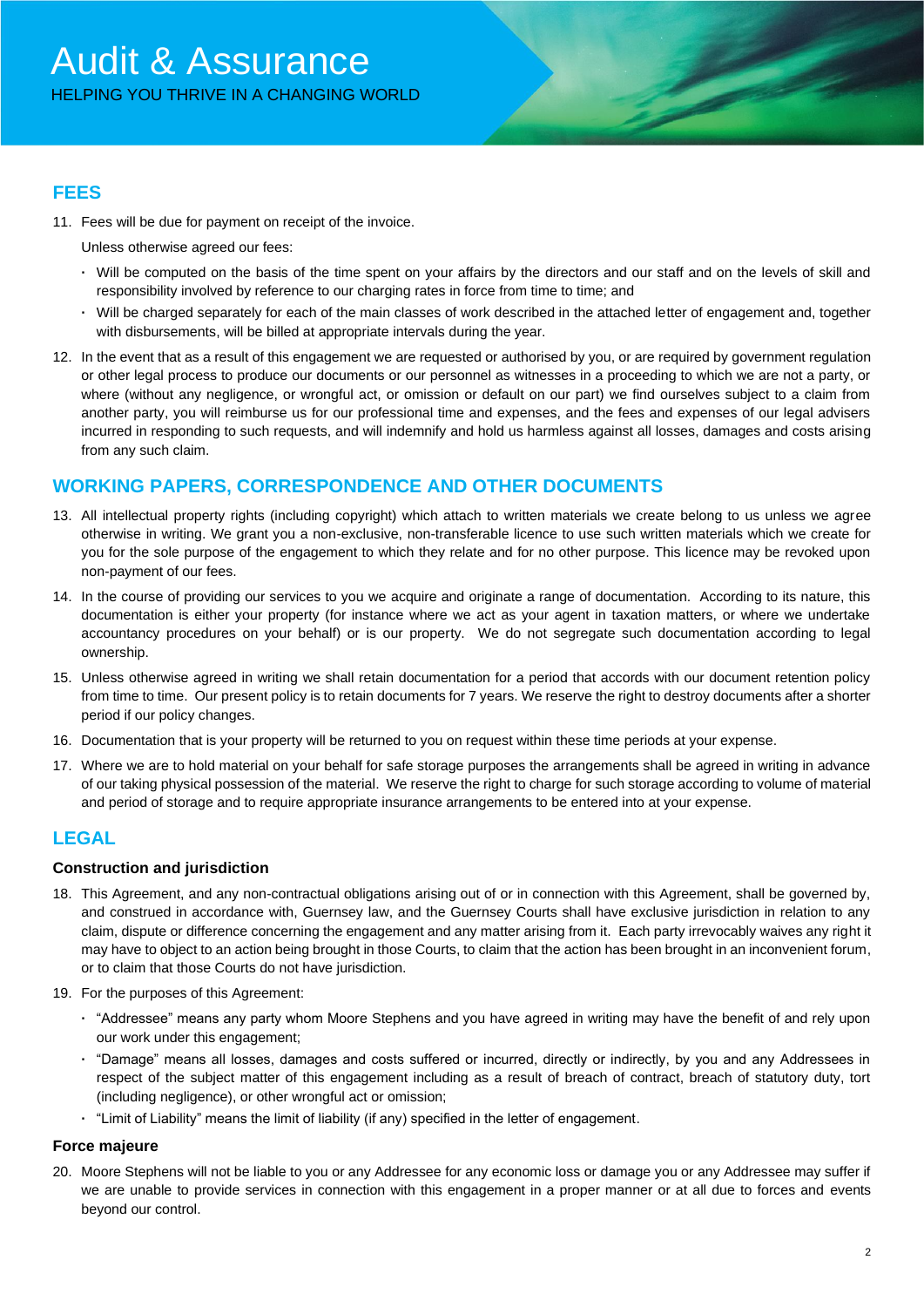# **FEES**

11. Fees will be due for payment on receipt of the invoice.

Unless otherwise agreed our fees:

- **·** Will be computed on the basis of the time spent on your affairs by the directors and our staff and on the levels of skill and responsibility involved by reference to our charging rates in force from time to time; and
- **·** Will be charged separately for each of the main classes of work described in the attached letter of engagement and, together with disbursements, will be billed at appropriate intervals during the year.
- 12. In the event that as a result of this engagement we are requested or authorised by you, or are required by government regulation or other legal process to produce our documents or our personnel as witnesses in a proceeding to which we are not a party, or where (without any negligence, or wrongful act, or omission or default on our part) we find ourselves subject to a claim from another party, you will reimburse us for our professional time and expenses, and the fees and expenses of our legal advisers incurred in responding to such requests, and will indemnify and hold us harmless against all losses, damages and costs arising from any such claim.

# **WORKING PAPERS, CORRESPONDENCE AND OTHER DOCUMENTS**

- 13. All intellectual property rights (including copyright) which attach to written materials we create belong to us unless we agree otherwise in writing. We grant you a non-exclusive, non-transferable licence to use such written materials which we create for you for the sole purpose of the engagement to which they relate and for no other purpose. This licence may be revoked upon non-payment of our fees.
- 14. In the course of providing our services to you we acquire and originate a range of documentation. According to its nature, this documentation is either your property (for instance where we act as your agent in taxation matters, or where we undertake accountancy procedures on your behalf) or is our property. We do not segregate such documentation according to legal ownership.
- 15. Unless otherwise agreed in writing we shall retain documentation for a period that accords with our document retention policy from time to time. Our present policy is to retain documents for 7 years. We reserve the right to destroy documents after a shorter period if our policy changes.
- 16. Documentation that is your property will be returned to you on request within these time periods at your expense.
- 17. Where we are to hold material on your behalf for safe storage purposes the arrangements shall be agreed in writing in advance of our taking physical possession of the material. We reserve the right to charge for such storage according to volume of material and period of storage and to require appropriate insurance arrangements to be entered into at your expense.

# **LEGAL**

#### **Construction and jurisdiction**

- 18. This Agreement, and any non-contractual obligations arising out of or in connection with this Agreement, shall be governed by, and construed in accordance with, Guernsey law, and the Guernsey Courts shall have exclusive jurisdiction in relation to any claim, dispute or difference concerning the engagement and any matter arising from it. Each party irrevocably waives any right it may have to object to an action being brought in those Courts, to claim that the action has been brought in an inconvenient forum, or to claim that those Courts do not have jurisdiction.
- 19. For the purposes of this Agreement:
	- **·** "Addressee" means any party whom Moore Stephens and you have agreed in writing may have the benefit of and rely upon our work under this engagement;
	- **·** "Damage" means all losses, damages and costs suffered or incurred, directly or indirectly, by you and any Addressees in respect of the subject matter of this engagement including as a result of breach of contract, breach of statutory duty, tort (including negligence), or other wrongful act or omission;
	- **·** "Limit of Liability" means the limit of liability (if any) specified in the letter of engagement.

#### **Force majeure**

20. Moore Stephens will not be liable to you or any Addressee for any economic loss or damage you or any Addressee may suffer if we are unable to provide services in connection with this engagement in a proper manner or at all due to forces and events beyond our control.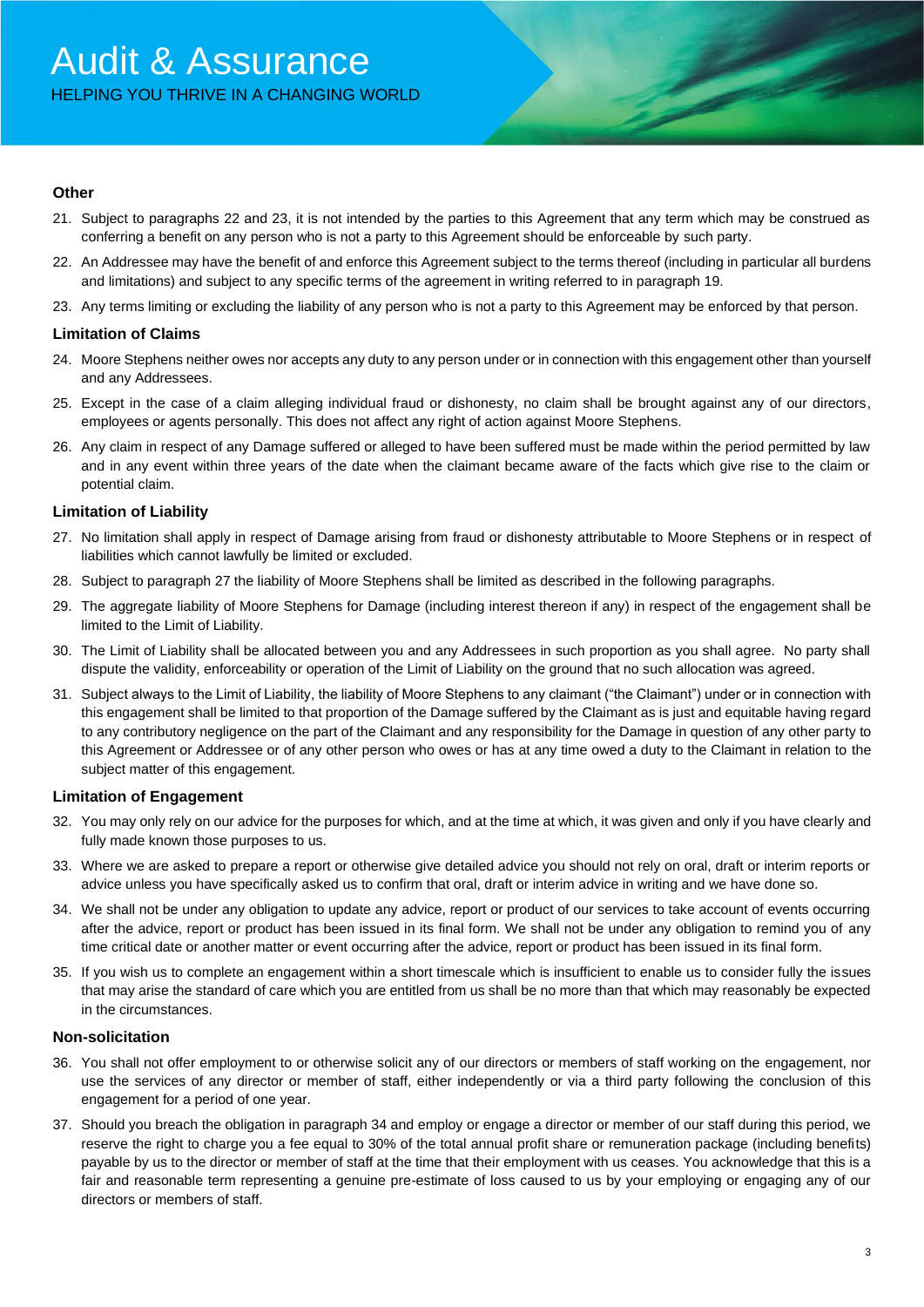#### **Other**

- 21. Subject to paragraphs 22 and 23, it is not intended by the parties to this Agreement that any term which may be construed as conferring a benefit on any person who is not a party to this Agreement should be enforceable by such party.
- 22. An Addressee may have the benefit of and enforce this Agreement subject to the terms thereof (including in particular all burdens and limitations) and subject to any specific terms of the agreement in writing referred to in paragraph 19.
- 23. Any terms limiting or excluding the liability of any person who is not a party to this Agreement may be enforced by that person.

#### **Limitation of Claims**

- 24. Moore Stephens neither owes nor accepts any duty to any person under or in connection with this engagement other than yourself and any Addressees.
- 25. Except in the case of a claim alleging individual fraud or dishonesty, no claim shall be brought against any of our directors, employees or agents personally. This does not affect any right of action against Moore Stephens.
- 26. Any claim in respect of any Damage suffered or alleged to have been suffered must be made within the period permitted by law and in any event within three years of the date when the claimant became aware of the facts which give rise to the claim or potential claim.

#### **Limitation of Liability**

- 27. No limitation shall apply in respect of Damage arising from fraud or dishonesty attributable to Moore Stephens or in respect of liabilities which cannot lawfully be limited or excluded.
- 28. Subject to paragraph 27 the liability of Moore Stephens shall be limited as described in the following paragraphs.
- 29. The aggregate liability of Moore Stephens for Damage (including interest thereon if any) in respect of the engagement shall be limited to the Limit of Liability.
- 30. The Limit of Liability shall be allocated between you and any Addressees in such proportion as you shall agree. No party shall dispute the validity, enforceability or operation of the Limit of Liability on the ground that no such allocation was agreed.
- 31. Subject always to the Limit of Liability, the liability of Moore Stephens to any claimant ("the Claimant") under or in connection with this engagement shall be limited to that proportion of the Damage suffered by the Claimant as is just and equitable having regard to any contributory negligence on the part of the Claimant and any responsibility for the Damage in question of any other party to this Agreement or Addressee or of any other person who owes or has at any time owed a duty to the Claimant in relation to the subject matter of this engagement.

#### **Limitation of Engagement**

- 32. You may only rely on our advice for the purposes for which, and at the time at which, it was given and only if you have clearly and fully made known those purposes to us.
- 33. Where we are asked to prepare a report or otherwise give detailed advice you should not rely on oral, draft or interim reports or advice unless you have specifically asked us to confirm that oral, draft or interim advice in writing and we have done so.
- 34. We shall not be under any obligation to update any advice, report or product of our services to take account of events occurring after the advice, report or product has been issued in its final form. We shall not be under any obligation to remind you of any time critical date or another matter or event occurring after the advice, report or product has been issued in its final form.
- 35. If you wish us to complete an engagement within a short timescale which is insufficient to enable us to consider fully the issues that may arise the standard of care which you are entitled from us shall be no more than that which may reasonably be expected in the circumstances.

#### **Non-solicitation**

- 36. You shall not offer employment to or otherwise solicit any of our directors or members of staff working on the engagement, nor use the services of any director or member of staff, either independently or via a third party following the conclusion of this engagement for a period of one year.
- 37. Should you breach the obligation in paragraph 34 and employ or engage a director or member of our staff during this period, we reserve the right to charge you a fee equal to 30% of the total annual profit share or remuneration package (including benefits) payable by us to the director or member of staff at the time that their employment with us ceases. You acknowledge that this is a fair and reasonable term representing a genuine pre-estimate of loss caused to us by your employing or engaging any of our directors or members of staff.